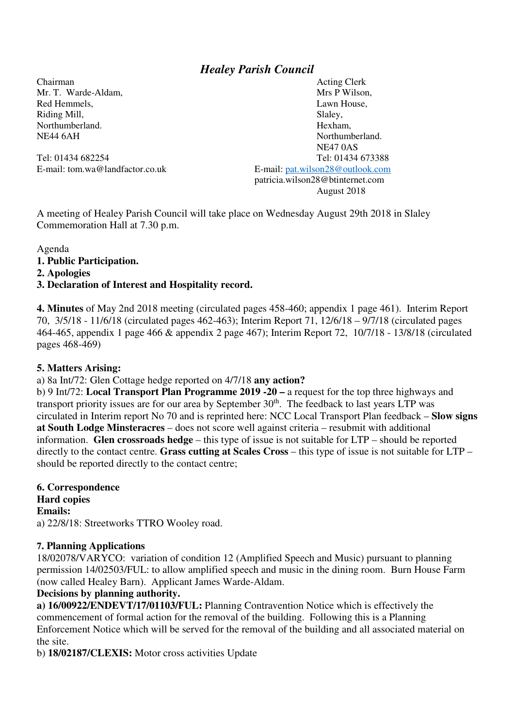# *Healey Parish Council*

Chairman Acting Clerk Mr. T. Warde-Aldam, N. M. Mrs P Wilson, N. Mrs P Wilson, N. Mrs P Wilson, N. Mrs P Wilson, N. Mrs P Wilson, N. M. M. 2004, N. M. 2004, N. M. 2004, N. M. 2004, N. M. 2004, N. M. 2004, N. M. 2004, N. M. 2004, N. M. 2004, N. Red Hemmels, **Lawn House**, **Lawn House**, Riding Mill, Slaley, Northumberland. Hexham, NE44 6AH Northumberland. NE47 0AS Tel: 01434 682254 Tel: 01434 673388 E-mail: tom.wa@landfactor.co.uk E-mail: pat.wilson28@outlook.com patricia.wilson28@btinternet.com August 2018

A meeting of Healey Parish Council will take place on Wednesday August 29th 2018 in Slaley Commemoration Hall at 7.30 p.m.

Agenda

#### **1. Public Participation.**

**2. Apologies** 

#### **3. Declaration of Interest and Hospitality record.**

**4. Minutes** of May 2nd 2018 meeting (circulated pages 458-460; appendix 1 page 461). Interim Report 70, 3/5/18 - 11/6/18 (circulated pages 462-463); Interim Report 71, 12/6/18 – 9/7/18 (circulated pages 464-465, appendix 1 page 466 & appendix 2 page 467); Interim Report 72, 10/7/18 - 13/8/18 (circulated pages 468-469)

#### **5. Matters Arising:**

#### a) 8a Int/72: Glen Cottage hedge reported on 4/7/18 **any action?**

b) 9 Int/72: **Local Transport Plan Programme 2019 -20 –** a request for the top three highways and transport priority issues are for our area by September 30<sup>th</sup>. The feedback to last years LTP was circulated in Interim report No 70 and is reprinted here: NCC Local Transport Plan feedback – **Slow signs at South Lodge Minsteracres** – does not score well against criteria – resubmit with additional information. **Glen crossroads hedge** – this type of issue is not suitable for LTP – should be reported directly to the contact centre. **Grass cutting at Scales Cross** – this type of issue is not suitable for LTP – should be reported directly to the contact centre;

**6. Correspondence Hard copies Emails:**  a) 22/8/18: Streetworks TTRO Wooley road.

#### **7. Planning Applications**

18/02078/VARYCO: variation of condition 12 (Amplified Speech and Music) pursuant to planning permission 14/02503/FUL: to allow amplified speech and music in the dining room. Burn House Farm (now called Healey Barn). Applicant James Warde-Aldam.

#### **Decisions by planning authority.**

**a) 16/00922/ENDEVT/17/01103/FUL:** Planning Contravention Notice which is effectively the commencement of formal action for the removal of the building. Following this is a Planning Enforcement Notice which will be served for the removal of the building and all associated material on the site.

b) **18/02187/CLEXIS:** Motor cross activities Update